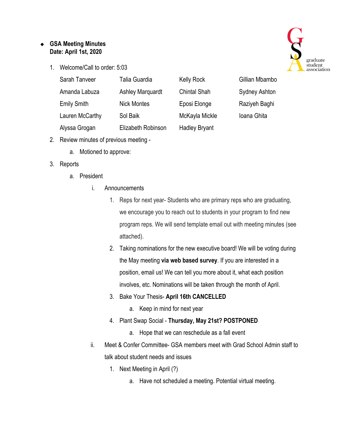## ❖ **GSA Meeting Minutes Date: April 1st, 2020**

1. Welcome/Call to order: 5:03



Gillian Mbambo

Sydney Ashton

Raziyeh Baghi

Ioana Ghita

| Sarah Tanveer      | Talia Guardia           | <b>Kelly Rock</b>    |
|--------------------|-------------------------|----------------------|
| Amanda Labuza      | <b>Ashley Marquardt</b> | <b>Chintal Shah</b>  |
| <b>Emily Smith</b> | <b>Nick Montes</b>      | Eposi Elonge         |
| Lauren McCarthy    | Sol Baik                | McKayla Mickle       |
| Alyssa Grogan      | Elizabeth Robinson      | <b>Hadley Bryant</b> |

- 2. Review minutes of previous meeting
	- a. Motioned to approve:

## 3. Reports

- a. President
	- i. Announcements
		- 1. Reps for next year- Students who are primary reps who are graduating, we encourage you to reach out to students in your program to find new program reps. We will send template email out with meeting minutes (see attached).
		- 2. Taking nominations for the new executive board! We will be voting during the May meeting **via web based survey**. If you are interested in a position, email us! We can tell you more about it, what each position involves, etc. Nominations will be taken through the month of April.

## 3. Bake Your Thesis- **April 16th CANCELLED**

- a. Keep in mind for next year
- 4. Plant Swap Social **Thursday, May 21st? POSTPONED**
	- a. Hope that we can reschedule as a fall event
- ii. Meet & Confer Committee- GSA members meet with Grad School Admin staff to talk about student needs and issues
	- 1. Next Meeting in April (?)
		- a. Have not scheduled a meeting. Potential virtual meeting.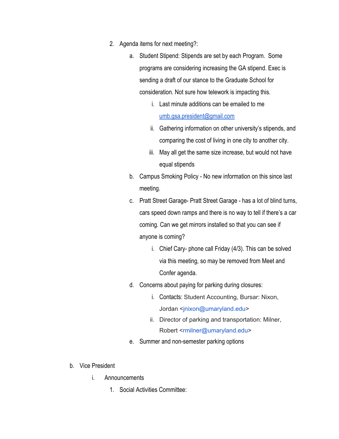- 2. Agenda items for next meeting?:
	- a. Student Stipend: Stipends are set by each Program. Some programs are considering increasing the GA stipend. Exec is sending a draft of our stance to the Graduate School for consideration. Not sure how telework is impacting this.
		- i. Last minute additions can be emailed to me [umb.gsa.president@gmail.com](mailto:umb.gsa.president@gmail.com)
		- ii. Gathering information on other university's stipends, and comparing the cost of living in one city to another city.
		- iii. May all get the same size increase, but would not have equal stipends
	- b. Campus Smoking Policy No new information on this since last meeting.
	- c. Pratt Street Garage- Pratt Street Garage has a lot of blind turns, cars speed down ramps and there is no way to tell if there's a car coming. Can we get mirrors installed so that you can see if anyone is coming?
		- i. Chief Cary- phone call Friday (4/3). This can be solved via this meeting, so may be removed from Meet and Confer agenda.
	- d. Concerns about paying for parking during closures:
		- i. Contacts: Student Accounting, Bursar: Nixon, Jordan <jnixon@umaryland.edu>
		- ii. Director of parking and transportation: Milner, Robert <rmilner@umaryland.edu>
	- e. Summer and non-semester parking options
- b. Vice President
	- i. Announcements
		- 1. Social Activities Committee: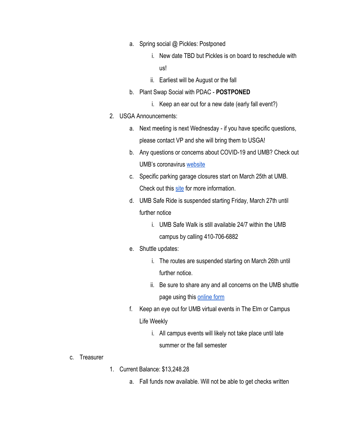- a. Spring social @ Pickles: Postponed
	- i. New date TBD but Pickles is on board to reschedule with us!
	- ii. Earliest will be August or the fall
- b. Plant Swap Social with PDAC **POSTPONED**
	- i. Keep an ear out for a new date (early fall event?)
- 2. USGA Announcements:
	- a. Next meeting is next Wednesday if you have specific questions, please contact VP and she will bring them to USGA!
	- b. Any questions or concerns about COVID-19 and UMB? Check out UMB's coronavirus [website](https://www.umaryland.edu/coronavirus/)
	- c. Specific parking garage closures start on March 25th at UMB. Check out this [site](https://www.umaryland.edu/parking/) for more information.
	- d. UMB Safe Ride is suspended starting Friday, March 27th until further notice
		- i. UMB Safe Walk is still available 24/7 within the UMB campus by calling 410-706-6882
	- e. Shuttle updates:
		- i. The routes are suspended starting on March 26th until further notice.
		- ii. Be sure to share any and all concerns on the UMB shuttle page using this [online form](https://www.umaryland.edu/shuttlebus/suggestions/)
	- f. Keep an eye out for UMB virtual events in The Elm or Campus Life Weekly
		- i. All campus events will likely not take place until late summer or the fall semester

- c. Treasurer
- 1. Current Balance: \$13,248.28
	- a. Fall funds now available. Will not be able to get checks written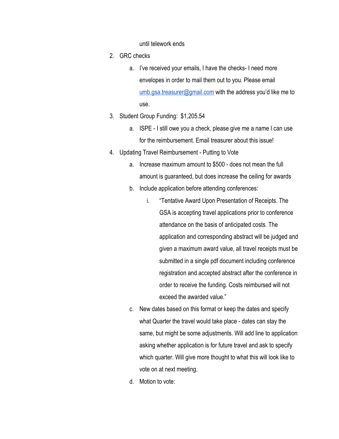until telework ends

- 2. GRC checks
	- a. I've received your emails, I have the checks- I need more envelopes in order to mail them out to you. Please email [umb.gsa.treasurer@gmail.com](mailto:umb.gsa.treasurer@gmail.com) with the address you'd like me to use.
- 3. Student Group Funding: \$1,205.54
	- a. ISPE I still owe you a check, please give me a name I can use for the reimbursement. Email treasurer about this issue!
- 4. Updating Travel Reimbursement Putting to Vote
	- a. Increase maximum amount to \$500 does not mean the full amount is guaranteed, but does increase the ceiling for awards
	- b. Include application before attending conferences:
		- i. "Tentative Award Upon Presentation of Receipts. The GSA is accepting travel applications prior to conference attendance on the basis of anticipated costs. The application and corresponding abstract will be judged and given a maximum award value, all travel receipts must be submitted in a single pdf document including conference registration and accepted abstract after the conference in order to receive the funding. Costs reimbursed will not exceed the awarded value."
	- c. New dates based on this format or keep the dates and specify what Quarter the travel would take place - dates can stay the same, but might be some adjustments. Will add line to application asking whether application is for future travel and ask to specify which quarter. Will give more thought to what this will look like to vote on at next meeting.
	- d. Motion to vote: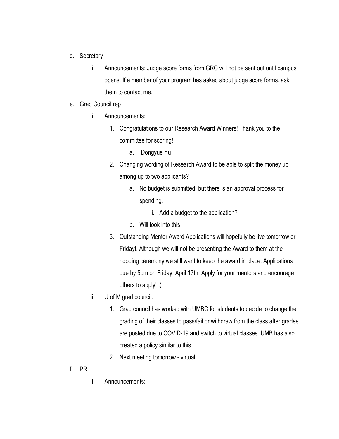- d. Secretary
	- i. Announcements: Judge score forms from GRC will not be sent out until campus opens. If a member of your program has asked about judge score forms, ask them to contact me.
- e. Grad Council rep
	- i. Announcements:
		- 1. Congratulations to our Research Award Winners! Thank you to the committee for scoring!
			- a. Dongyue Yu
		- 2. Changing wording of Research Award to be able to split the money up among up to two applicants?
			- a. No budget is submitted, but there is an approval process for spending.
				- i. Add a budget to the application?
			- b. Will look into this
		- 3. Outstanding Mentor Award Applications will hopefully be live tomorrow or Friday!. Although we will not be presenting the Award to them at the hooding ceremony we still want to keep the award in place. Applications due by 5pm on Friday, April 17th. Apply for your mentors and encourage others to apply! :)
	- ii. U of M grad council:
		- 1. Grad council has worked with UMBC for students to decide to change the grading of their classes to pass/fail or withdraw from the class after grades are posted due to COVID-19 and switch to virtual classes. UMB has also created a policy similar to this.
		- 2. Next meeting tomorrow virtual
- f. PR
- i. Announcements: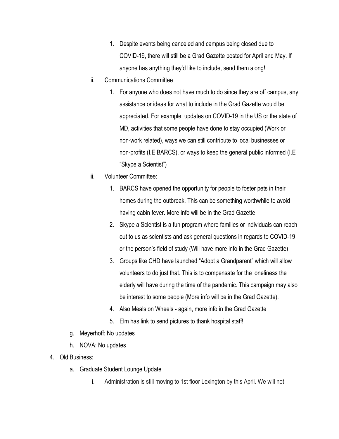- 1. Despite events being canceled and campus being closed due to COVID-19, there will still be a Grad Gazette posted for April and May. If anyone has anything they'd like to include, send them along!
- ii. Communications Committee
	- 1. For anyone who does not have much to do since they are off campus, any assistance or ideas for what to include in the Grad Gazette would be appreciated. For example: updates on COVID-19 in the US or the state of MD, activities that some people have done to stay occupied (Work or non-work related), ways we can still contribute to local businesses or non-profits (I.E BARCS), or ways to keep the general public informed (I.E "Skype a Scientist")
- iii. Volunteer Committee:
	- 1. BARCS have opened the opportunity for people to foster pets in their homes during the outbreak. This can be something worthwhile to avoid having cabin fever. More info will be in the Grad Gazette
	- 2. Skype a Scientist is a fun program where families or individuals can reach out to us as scientists and ask general questions in regards to COVID-19 or the person's field of study (Will have more info in the Grad Gazette)
	- 3. Groups like CHD have launched "Adopt a Grandparent" which will allow volunteers to do just that. This is to compensate for the loneliness the elderly will have during the time of the pandemic. This campaign may also be interest to some people (More info will be in the Grad Gazette).
	- 4. Also Meals on Wheels again, more info in the Grad Gazette
	- 5. Elm has link to send pictures to thank hospital staff!
- g. Meyerhoff: No updates
- h. NOVA: No updates
- 4. Old Business:
	- a. Graduate Student Lounge Update
		- i. Administration is still moving to 1st floor Lexington by this April. We will not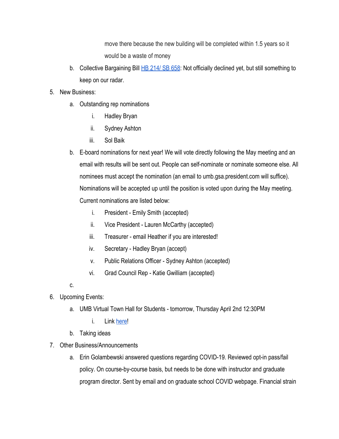move there because the new building will be completed within 1.5 years so it would be a waste of money

- b. Collective Bargaining Bill [HB 214/ SB 658:](http://mgaleg.maryland.gov/mgawebsite/Legislation/Details/HB0214?ys=2020RS) Not officially declined yet, but still something to keep on our radar.
- 5. New Business:
	- a. Outstanding rep nominations
		- i. Hadley Bryan
		- ii. Sydney Ashton
		- iii. Sol Baik
	- b. E-board nominations for next year! We will vote directly following the May meeting and an email with results will be sent out. People can self-nominate or nominate someone else. All nominees must accept the nomination (an email to umb.gsa.president.com will suffice). Nominations will be accepted up until the position is voted upon during the May meeting. Current nominations are listed below:
		- i. President Emily Smith (accepted)
		- ii. Vice President Lauren McCarthy (accepted)
		- iii. Treasurer email Heather if you are interested!
		- iv. Secretary Hadley Bryan (accept)
		- v. Public Relations Officer Sydney Ashton (accepted)
		- vi. Grad Council Rep Katie Gwilliam (accepted)
	- c.
- 6. Upcoming Events:
	- a. UMB Virtual Town Hall for Students tomorrow, Thursday April 2nd 12:30PM
		- i. Link [here!](https://umaryland.webex.com/mw3300/mywebex/default.do?nomenu=true&siteurl=umaryland&service=6&rnd=0.2919725485600907&main_url=https%3A%2F%2Fumaryland.webex.com%2Fec3300%2Feventcenter%2Fevent%2FeventAction.do%3FtheAction%3Ddetail%26%26%26EMK%3D4832534b00000004f62d042e9f1b41f8a00d5c35af8950258c61583a0aa47682b23dd9047bf200ca%26siteurl%3Dumaryland%26confViewID%3D157246287037604612%26encryptTicket%3DSDJTSwAAAASWn8ziOJvRNNgdXxBWkUm4n6SD-NmHQCGgy8d6BJAP2g2%26)
	- b. Taking ideas
- 7. Other Business/Announcements
	- a. Erin Golambewski answered questions regarding COVID-19. Reviewed opt-in pass/fail policy. On course-by-course basis, but needs to be done with instructor and graduate program director. Sent by email and on graduate school COVID webpage. Financial strain